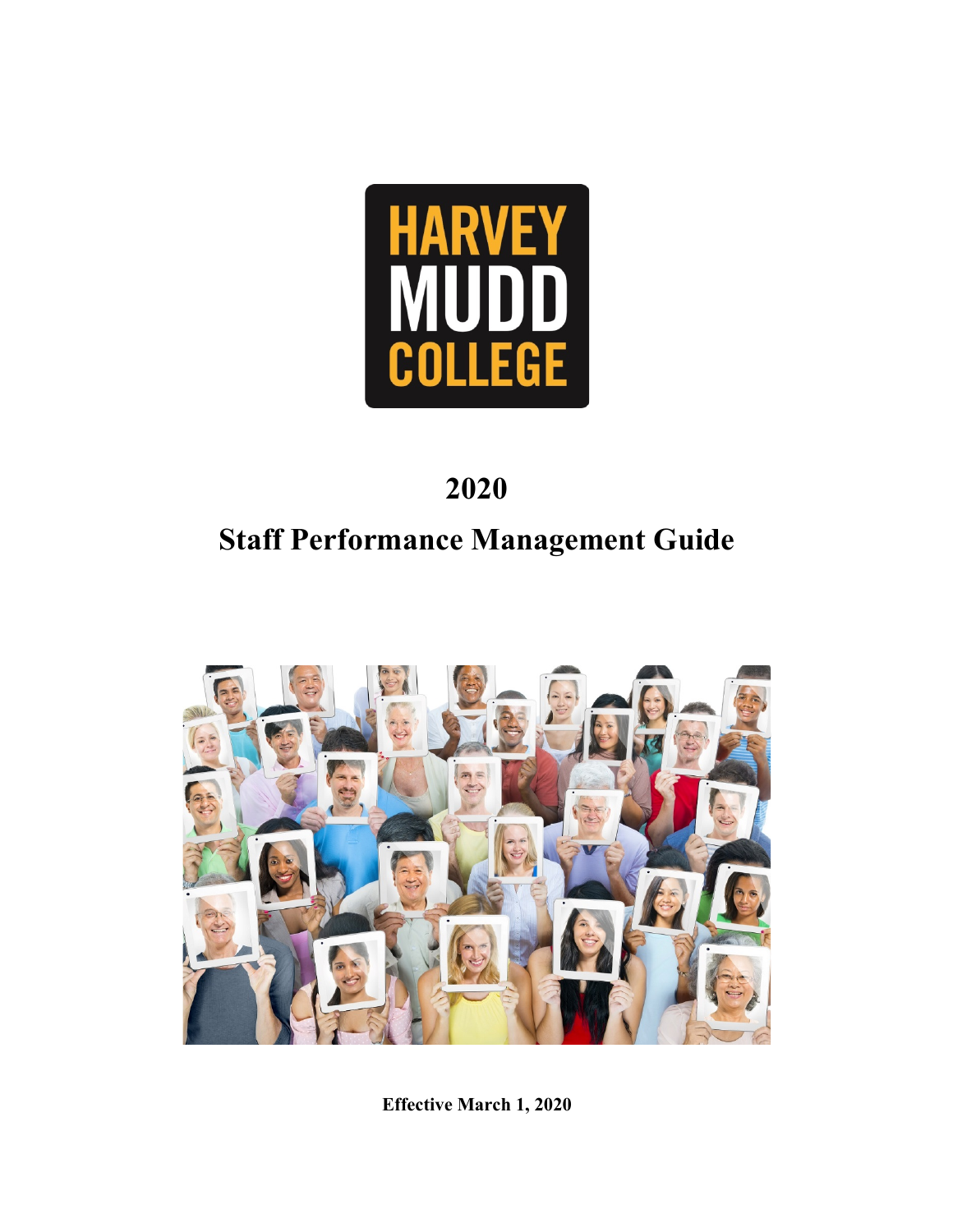

## **2020**

# **Staff Performance Management Guide**



**Effective March 1, 2020**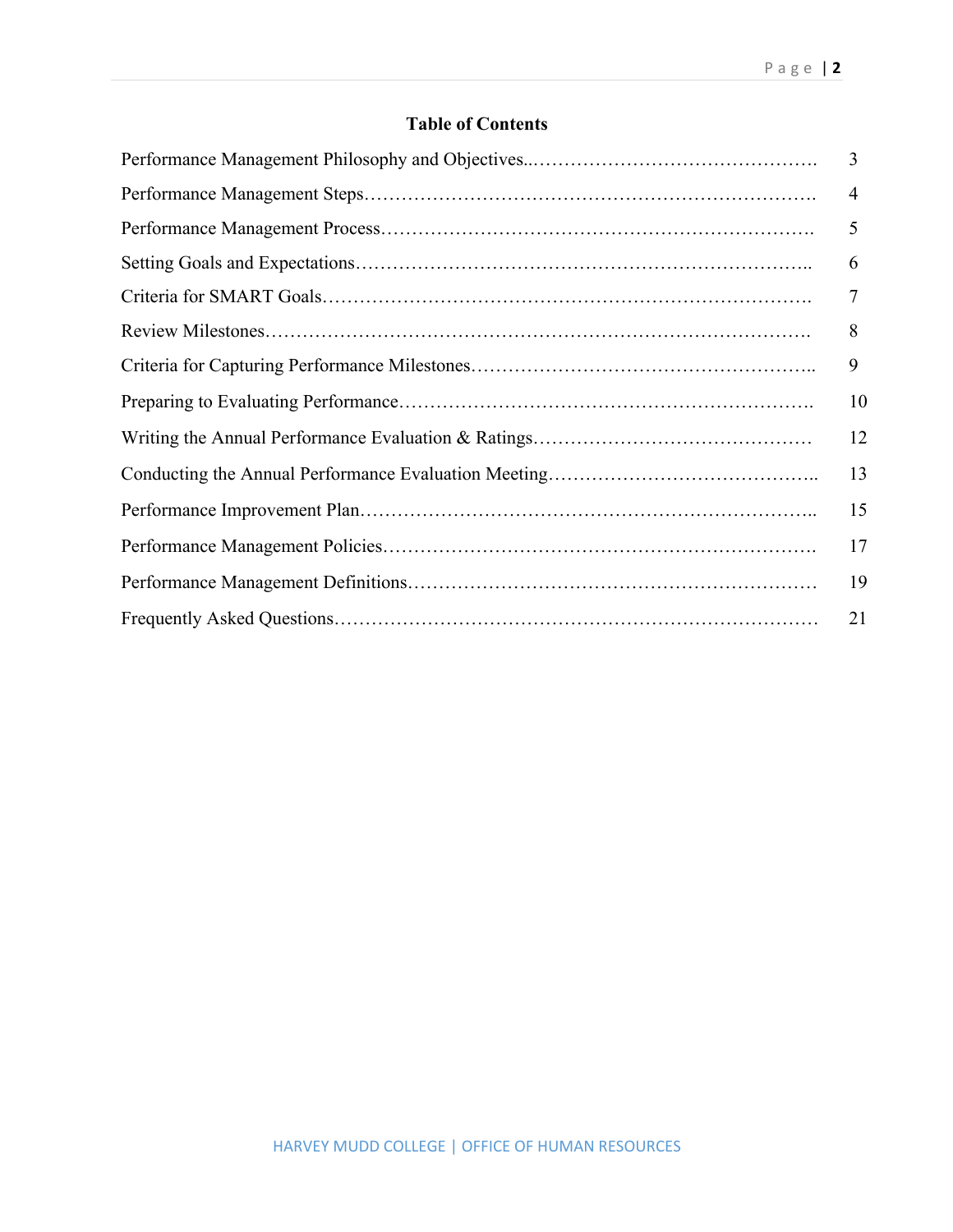## **Table of Contents**

| $\overline{3}$ |
|----------------|
| $\overline{4}$ |
| 5              |
| 6              |
| $\overline{7}$ |
| 8              |
| 9              |
| 10             |
| 12             |
| 13             |
| 15             |
| 17             |
| 19             |
| 21             |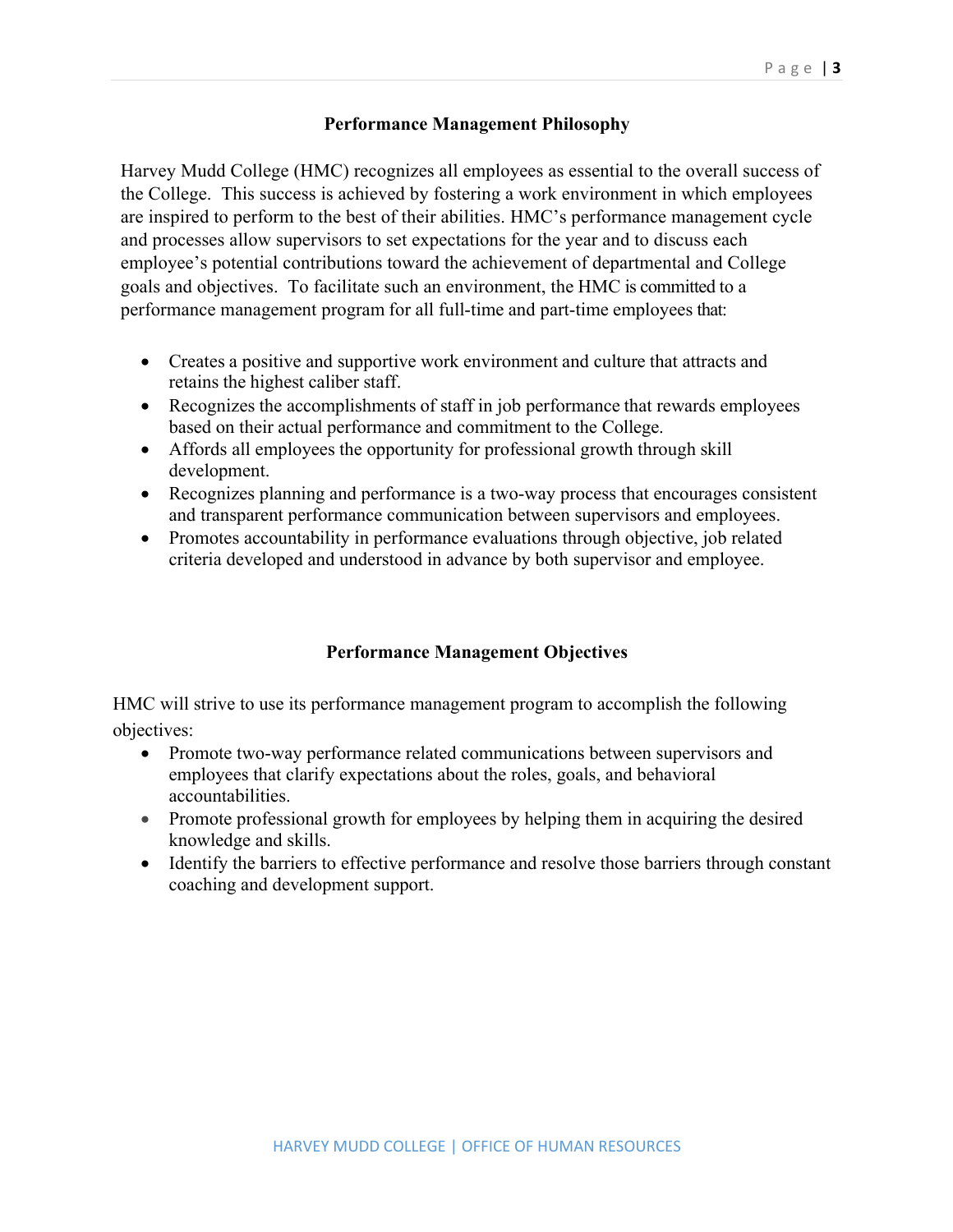## **Performance Management Philosophy**

Harvey Mudd College (HMC) recognizes all employees as essential to the overall success of the College. This success is achieved by fostering a work environment in which employees are inspired to perform to the best of their abilities. HMC's performance management cycle and processes allow supervisors to set expectations for the year and to discuss each employee's potential contributions toward the achievement of departmental and College goals and objectives. To facilitate such an environment, the HMC is committed to a performance management program for all full-time and part-time employees that:

- Creates a positive and supportive work environment and culture that attracts and retains the highest caliber staff.
- Recognizes the accomplishments of staff in job performance that rewards employees based on their actual performance and commitment to the College.
- Affords all employees the opportunity for professional growth through skill development.
- Recognizes planning and performance is a two-way process that encourages consistent and transparent performance communication between supervisors and employees.
- Promotes accountability in performance evaluations through objective, job related criteria developed and understood in advance by both supervisor and employee.

## **Performance Management Objectives**

HMC will strive to use its performance management program to accomplish the following objectives:

- Promote two-way performance related communications between supervisors and employees that clarify expectations about the roles, goals, and behavioral accountabilities.
- Promote professional growth for employees by helping them in acquiring the desired knowledge and skills.
- Identify the barriers to effective performance and resolve those barriers through constant coaching and development support.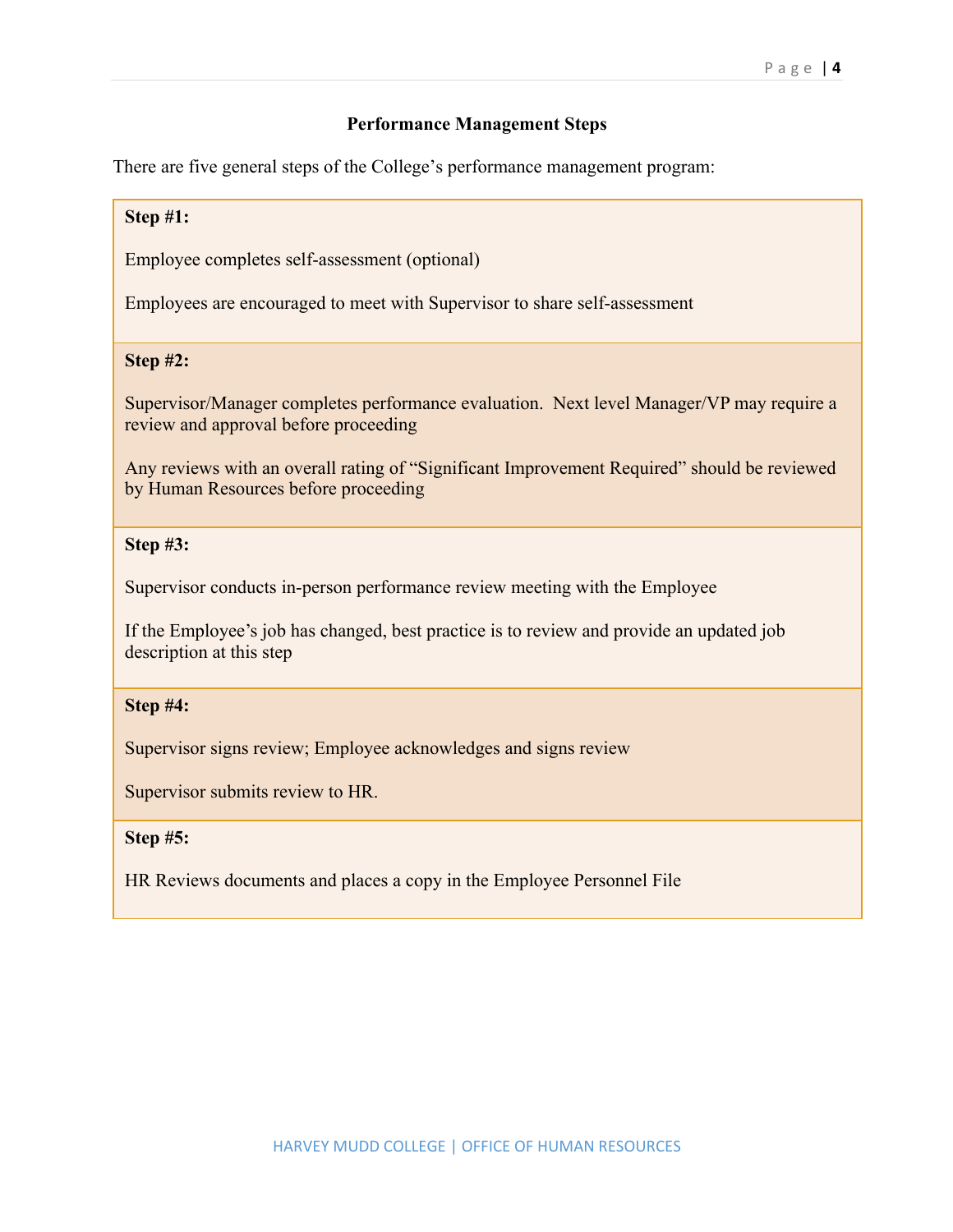#### **Performance Management Steps**

There are five general steps of the College's performance management program:

#### **Step #1:**

Employee completes self-assessment (optional)

Employees are encouraged to meet with Supervisor to share self-assessment

#### **Step #2:**

Supervisor/Manager completes performance evaluation. Next level Manager/VP may require a review and approval before proceeding

Any reviews with an overall rating of "Significant Improvement Required" should be reviewed by Human Resources before proceeding

#### **Step #3:**

Supervisor conducts in-person performance review meeting with the Employee

If the Employee's job has changed, best practice is to review and provide an updated job description at this step

#### **Step #4:**

Supervisor signs review; Employee acknowledges and signs review

Supervisor submits review to HR.

#### **Step #5:**

HR Reviews documents and places a copy in the Employee Personnel File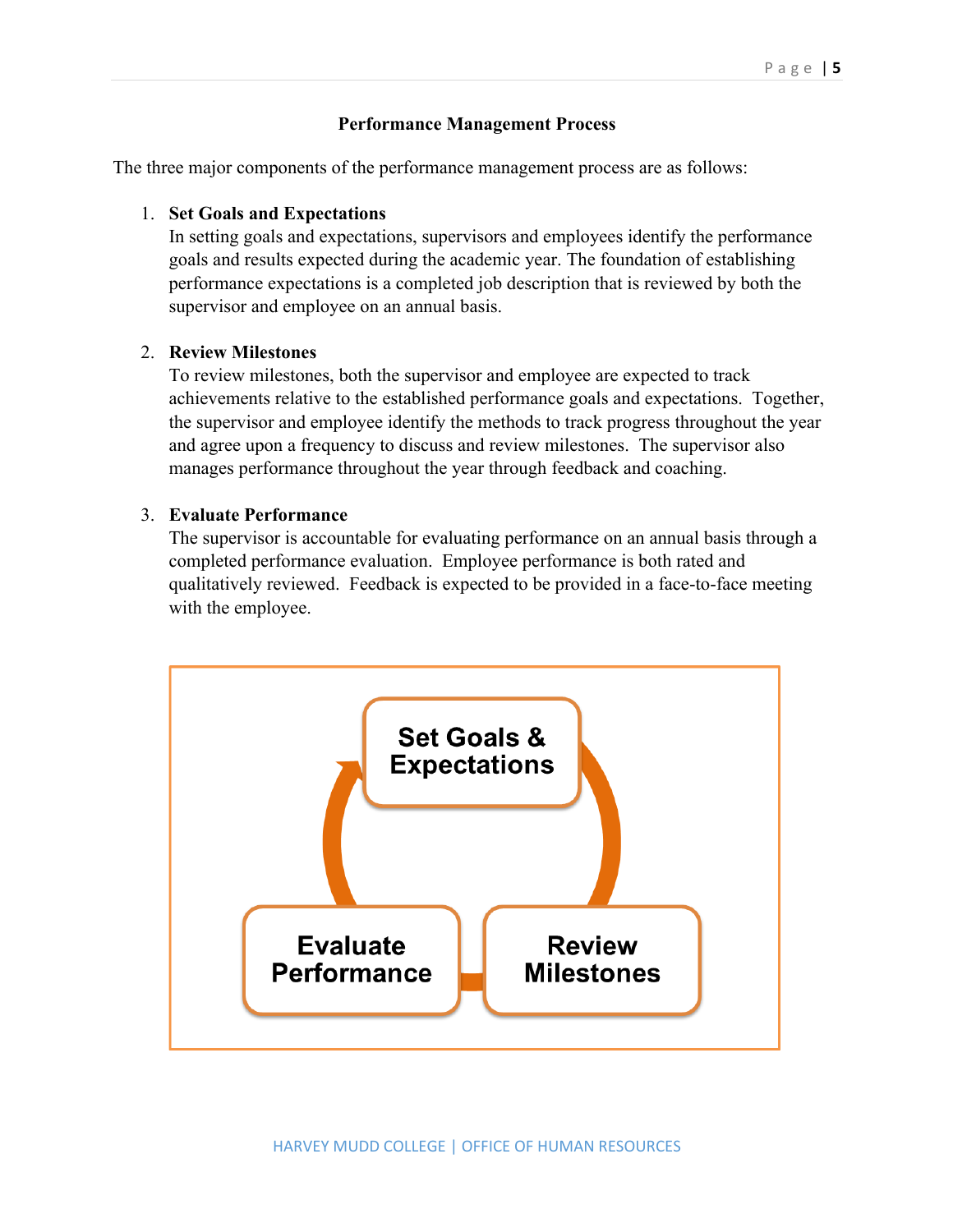### **Performance Management Process**

The three major components of the performance management process are as follows:

#### 1. **Set Goals and Expectations**

In setting goals and expectations, supervisors and employees identify the performance goals and results expected during the academic year. The foundation of establishing performance expectations is a completed job description that is reviewed by both the supervisor and employee on an annual basis.

#### 2. **Review Milestones**

To review milestones, both the supervisor and employee are expected to track achievements relative to the established performance goals and expectations. Together, the supervisor and employee identify the methods to track progress throughout the year and agree upon a frequency to discuss and review milestones. The supervisor also manages performance throughout the year through feedback and coaching.

#### 3. **Evaluate Performance**

The supervisor is accountable for evaluating performance on an annual basis through a completed performance evaluation. Employee performance is both rated and qualitatively reviewed. Feedback is expected to be provided in a face-to-face meeting with the employee.

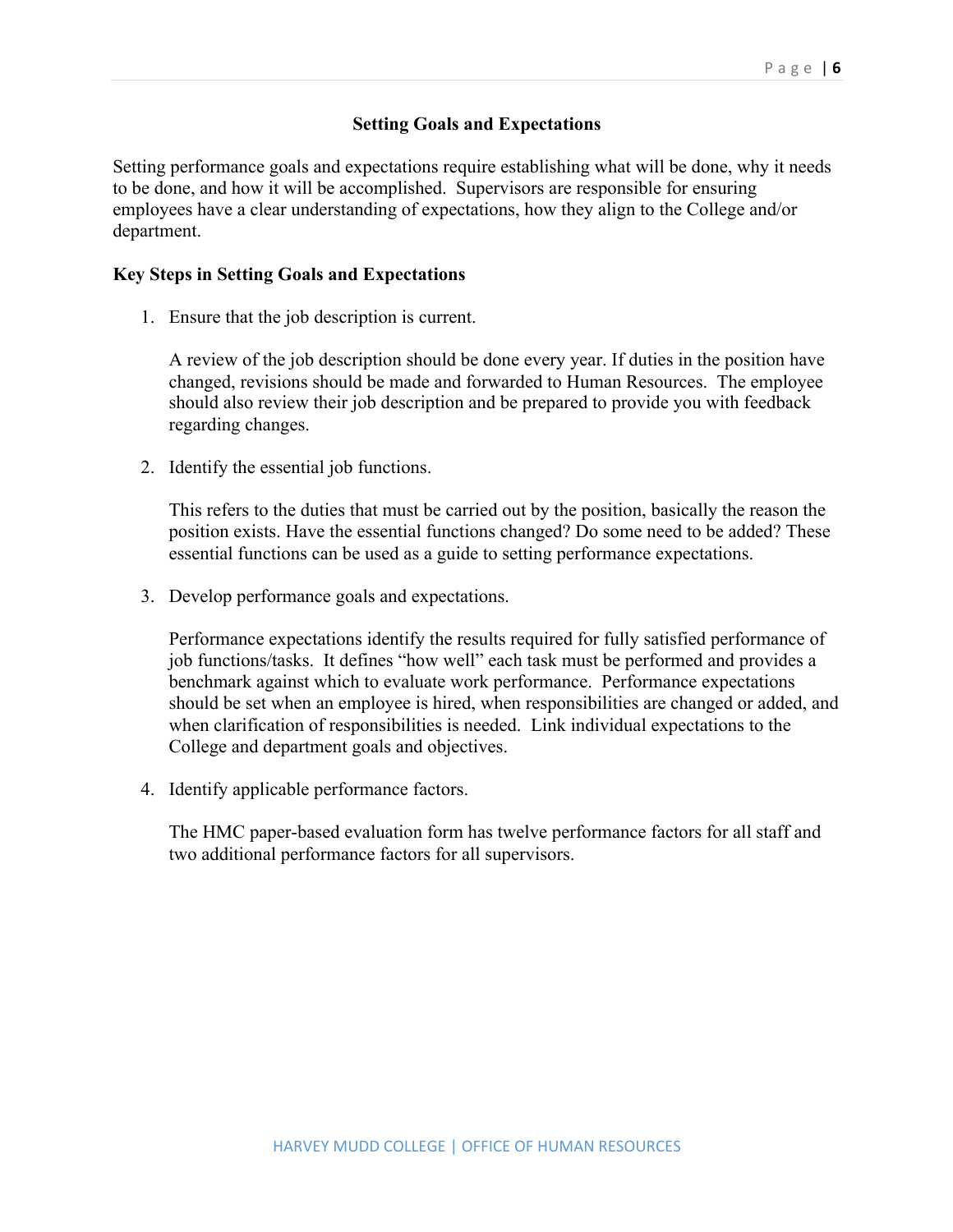## **Setting Goals and Expectations**

Setting performance goals and expectations require establishing what will be done, why it needs to be done, and how it will be accomplished. Supervisors are responsible for ensuring employees have a clear understanding of expectations, how they align to the College and/or department.

#### **Key Steps in Setting Goals and Expectations**

1. Ensure that the job description is current.

A review of the job description should be done every year. If duties in the position have changed, revisions should be made and forwarded to Human Resources. The employee should also review their job description and be prepared to provide you with feedback regarding changes.

2. Identify the essential job functions.

This refers to the duties that must be carried out by the position, basically the reason the position exists. Have the essential functions changed? Do some need to be added? These essential functions can be used as a guide to setting performance expectations.

3. Develop performance goals and expectations.

Performance expectations identify the results required for fully satisfied performance of job functions/tasks. It defines "how well" each task must be performed and provides a benchmark against which to evaluate work performance. Performance expectations should be set when an employee is hired, when responsibilities are changed or added, and when clarification of responsibilities is needed. Link individual expectations to the College and department goals and objectives.

4. Identify applicable performance factors.

The HMC paper-based evaluation form has twelve performance factors for all staff and two additional performance factors for all supervisors.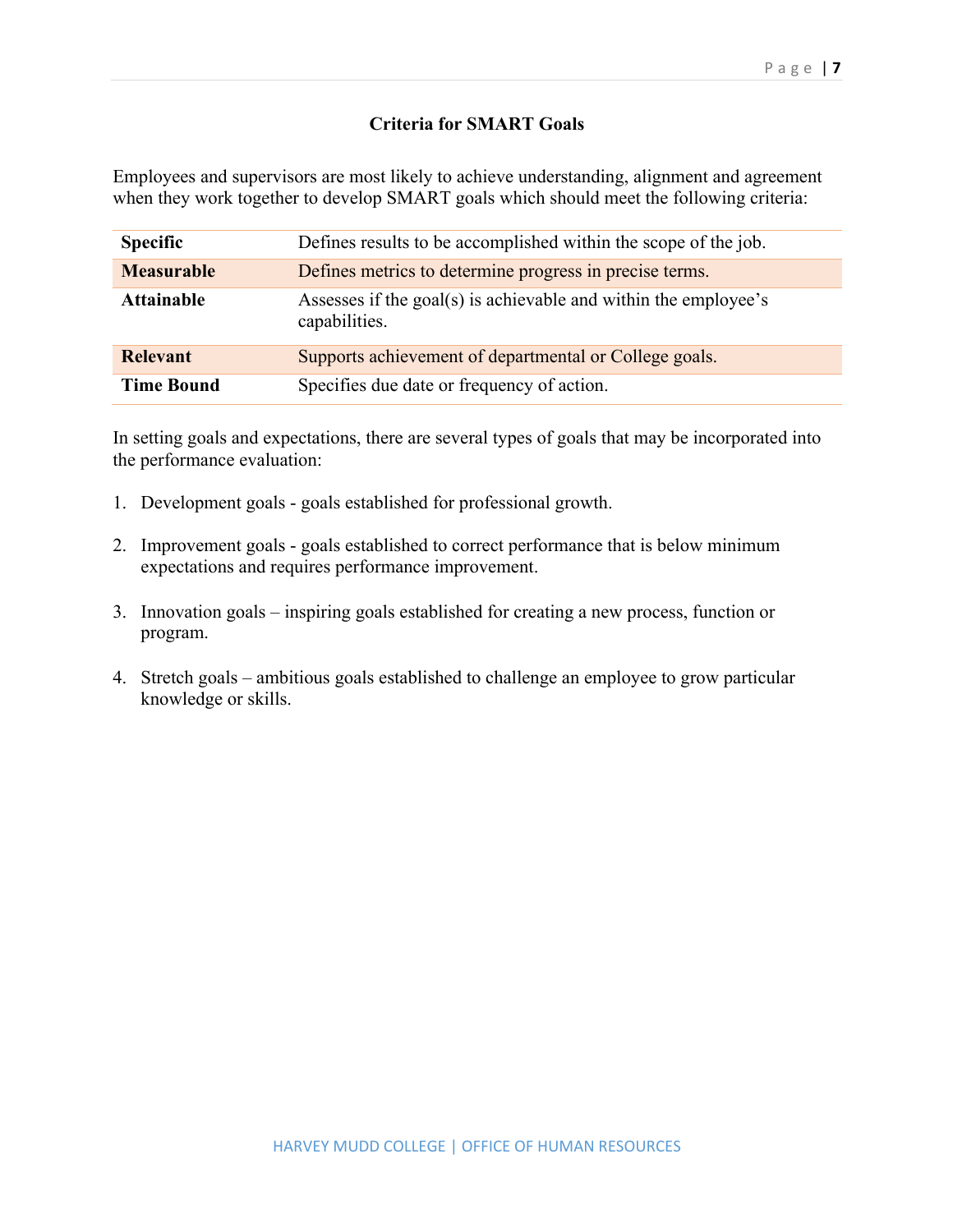## **Criteria for SMART Goals**

Employees and supervisors are most likely to achieve understanding, alignment and agreement when they work together to develop SMART goals which should meet the following criteria:

| <b>Specific</b>   | Defines results to be accomplished within the scope of the job.                  |  |
|-------------------|----------------------------------------------------------------------------------|--|
| <b>Measurable</b> | Defines metrics to determine progress in precise terms.                          |  |
| <b>Attainable</b> | Assesses if the goal(s) is achievable and within the employee's<br>capabilities. |  |
| <b>Relevant</b>   | Supports achievement of departmental or College goals.                           |  |
| <b>Time Bound</b> | Specifies due date or frequency of action.                                       |  |

In setting goals and expectations, there are several types of goals that may be incorporated into the performance evaluation:

- 1. Development goals goals established for professional growth.
- 2. Improvement goals goals established to correct performance that is below minimum expectations and requires performance improvement.
- 3. Innovation goals inspiring goals established for creating a new process, function or program.
- 4. Stretch goals ambitious goals established to challenge an employee to grow particular knowledge or skills.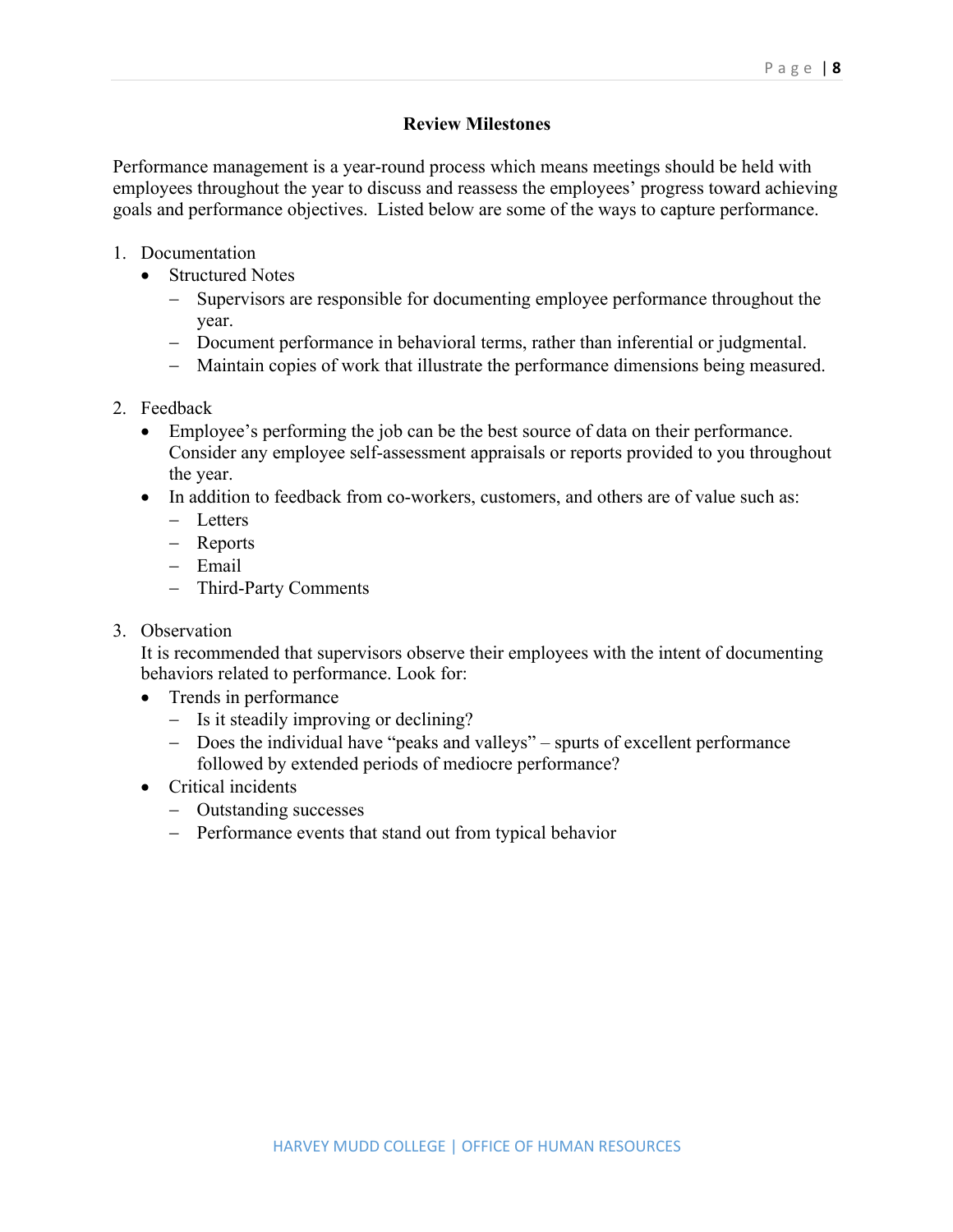## **Review Milestones**

Performance management is a year-round process which means meetings should be held with employees throughout the year to discuss and reassess the employees' progress toward achieving goals and performance objectives. Listed below are some of the ways to capture performance.

- 1. Documentation
	- Structured Notes
		- Supervisors are responsible for documenting employee performance throughout the year.
		- Document performance in behavioral terms, rather than inferential or judgmental.
		- Maintain copies of work that illustrate the performance dimensions being measured.
- 2. Feedback
	- Employee's performing the job can be the best source of data on their performance. Consider any employee self-assessment appraisals or reports provided to you throughout the year.
	- In addition to feedback from co-workers, customers, and others are of value such as:
		- Letters
		- Reports
		- Email
		- Third-Party Comments
- 3. Observation

It is recommended that supervisors observe their employees with the intent of documenting behaviors related to performance. Look for:

- Trends in performance
	- Is it steadily improving or declining?
	- Does the individual have "peaks and valleys" spurts of excellent performance followed by extended periods of mediocre performance?
- Critical incidents
	- Outstanding successes
	- Performance events that stand out from typical behavior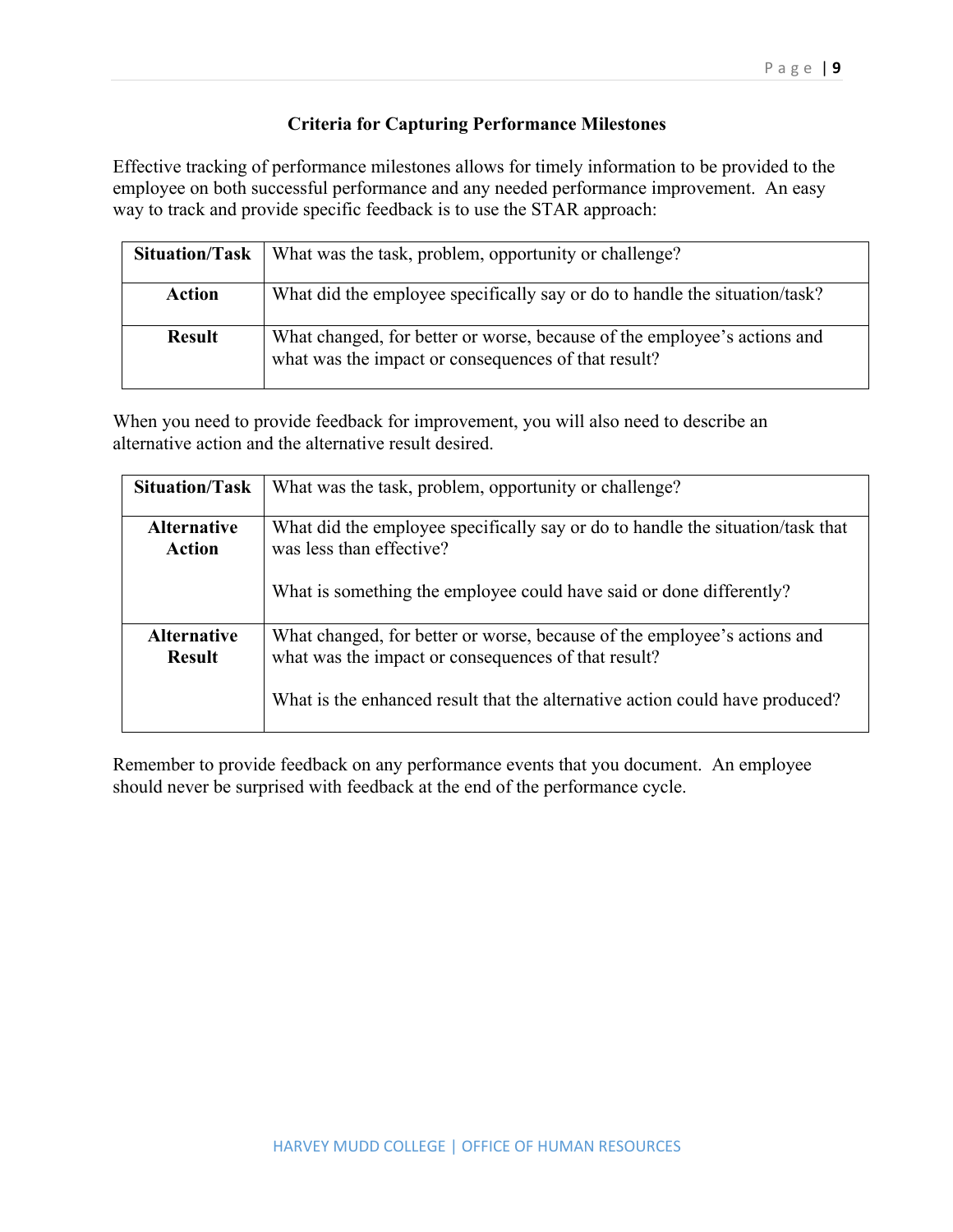## **Criteria for Capturing Performance Milestones**

Effective tracking of performance milestones allows for timely information to be provided to the employee on both successful performance and any needed performance improvement. An easy way to track and provide specific feedback is to use the STAR approach:

| <b>Situation/Task</b> | What was the task, problem, opportunity or challenge?                                                                           |
|-----------------------|---------------------------------------------------------------------------------------------------------------------------------|
| <b>Action</b>         | What did the employee specifically say or do to handle the situation/task?                                                      |
| <b>Result</b>         | What changed, for better or worse, because of the employee's actions and<br>what was the impact or consequences of that result? |

When you need to provide feedback for improvement, you will also need to describe an alternative action and the alternative result desired.

| <b>Situation/Task</b>               | What was the task, problem, opportunity or challenge?                                                                           |  |
|-------------------------------------|---------------------------------------------------------------------------------------------------------------------------------|--|
| <b>Alternative</b><br>Action        | What did the employee specifically say or do to handle the situation/task that<br>was less than effective?                      |  |
|                                     | What is something the employee could have said or done differently?                                                             |  |
| <b>Alternative</b><br><b>Result</b> | What changed, for better or worse, because of the employee's actions and<br>what was the impact or consequences of that result? |  |
|                                     | What is the enhanced result that the alternative action could have produced?                                                    |  |

Remember to provide feedback on any performance events that you document. An employee should never be surprised with feedback at the end of the performance cycle.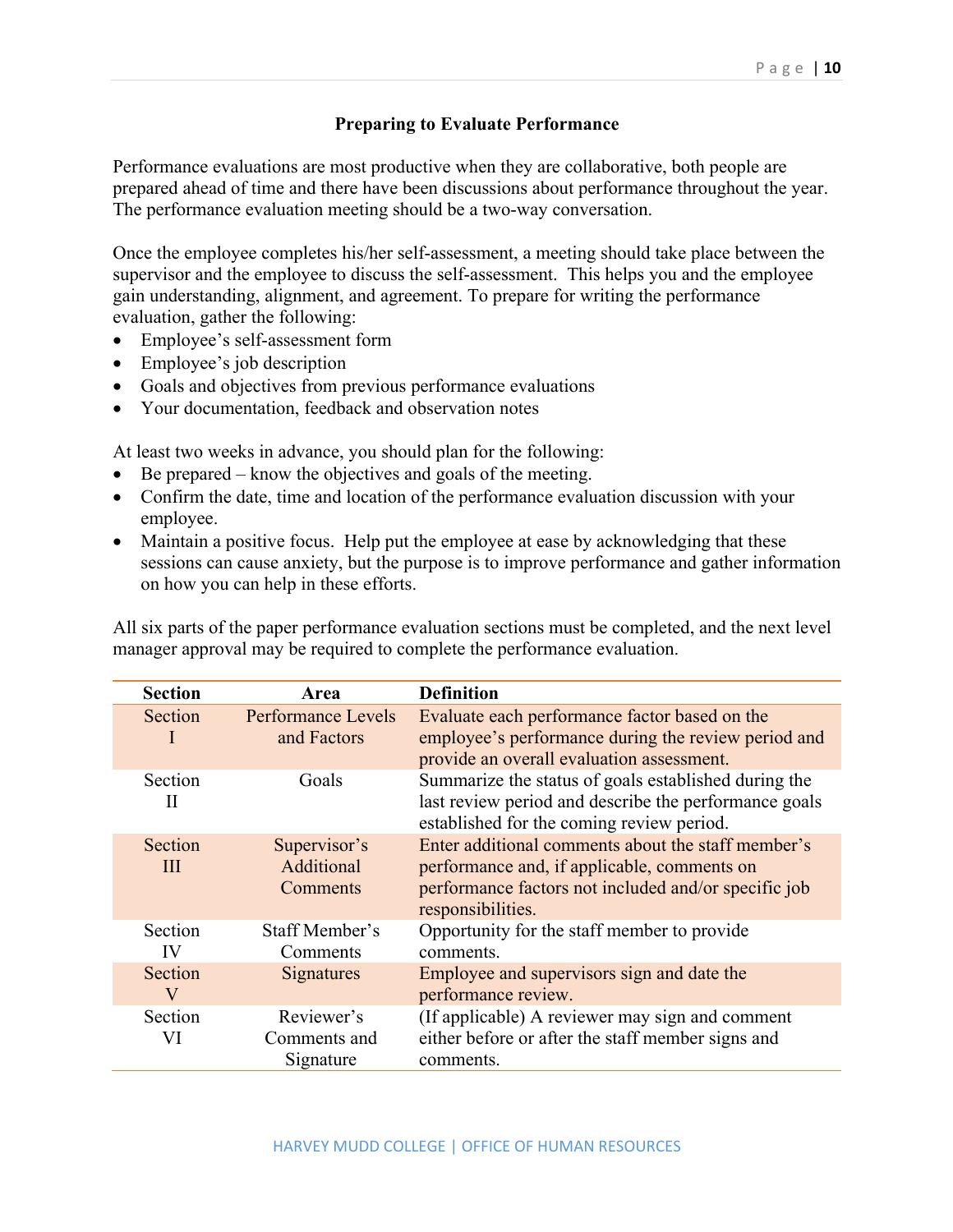## **Preparing to Evaluate Performance**

Performance evaluations are most productive when they are collaborative, both people are prepared ahead of time and there have been discussions about performance throughout the year. The performance evaluation meeting should be a two-way conversation.

Once the employee completes his/her self-assessment, a meeting should take place between the supervisor and the employee to discuss the self-assessment. This helps you and the employee gain understanding, alignment, and agreement. To prepare for writing the performance evaluation, gather the following:

- Employee's self-assessment form
- Employee's job description
- Goals and objectives from previous performance evaluations
- Your documentation, feedback and observation notes

At least two weeks in advance, you should plan for the following:

- Be prepared know the objectives and goals of the meeting.
- Confirm the date, time and location of the performance evaluation discussion with your employee.
- Maintain a positive focus. Help put the employee at ease by acknowledging that these sessions can cause anxiety, but the purpose is to improve performance and gather information on how you can help in these efforts.

All six parts of the paper performance evaluation sections must be completed, and the next level manager approval may be required to complete the performance evaluation.

| <b>Section</b> | Area                                     | <b>Definition</b>                                                                                                                                                              |
|----------------|------------------------------------------|--------------------------------------------------------------------------------------------------------------------------------------------------------------------------------|
| Section<br>I.  | <b>Performance Levels</b><br>and Factors | Evaluate each performance factor based on the<br>employee's performance during the review period and<br>provide an overall evaluation assessment.                              |
| Section<br>П   | Goals                                    | Summarize the status of goals established during the<br>last review period and describe the performance goals<br>established for the coming review period.                     |
| Section<br>Ш   | Supervisor's<br>Additional<br>Comments   | Enter additional comments about the staff member's<br>performance and, if applicable, comments on<br>performance factors not included and/or specific job<br>responsibilities. |
| Section<br>IV  | Staff Member's<br>Comments               | Opportunity for the staff member to provide<br>comments.                                                                                                                       |
| Section<br>V   | Signatures                               | Employee and supervisors sign and date the<br>performance review.                                                                                                              |
| Section<br>VI  | Reviewer's<br>Comments and<br>Signature  | (If applicable) A reviewer may sign and comment<br>either before or after the staff member signs and<br>comments.                                                              |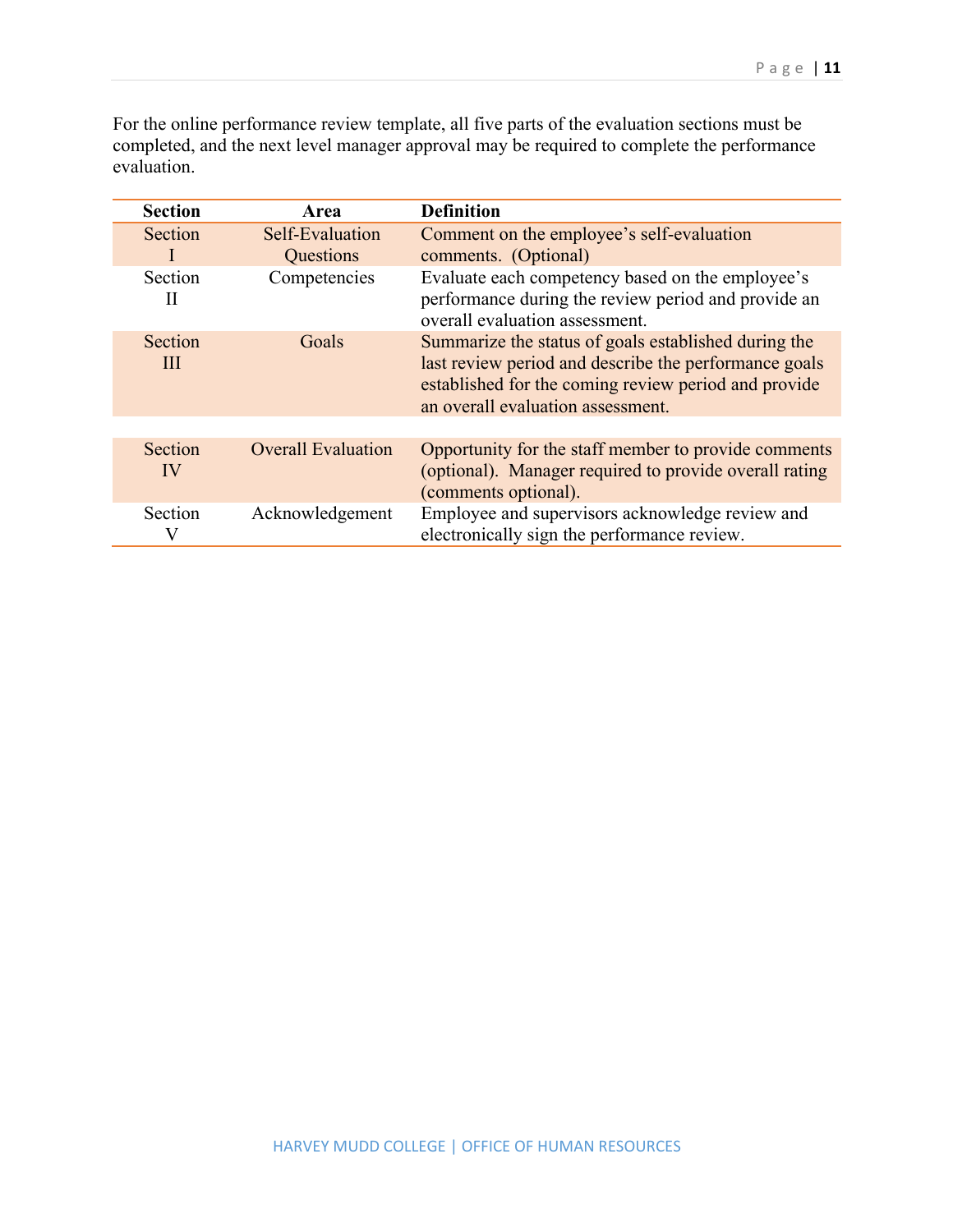For the online performance review template, all five parts of the evaluation sections must be completed, and the next level manager approval may be required to complete the performance evaluation.

| <b>Section</b> | Area                         | <b>Definition</b>                                                                                                                                                                                          |  |
|----------------|------------------------------|------------------------------------------------------------------------------------------------------------------------------------------------------------------------------------------------------------|--|
| Section        | Self-Evaluation<br>Questions | Comment on the employee's self-evaluation<br>comments. (Optional)                                                                                                                                          |  |
| Section<br>Н   | Competencies                 | Evaluate each competency based on the employee's<br>performance during the review period and provide an<br>overall evaluation assessment.                                                                  |  |
| Section<br>Ш   | Goals                        | Summarize the status of goals established during the<br>last review period and describe the performance goals<br>established for the coming review period and provide<br>an overall evaluation assessment. |  |
|                |                              |                                                                                                                                                                                                            |  |
| Section<br>IV  | <b>Overall Evaluation</b>    | Opportunity for the staff member to provide comments<br>(optional). Manager required to provide overall rating<br>(comments optional).                                                                     |  |
| Section        | Acknowledgement              | Employee and supervisors acknowledge review and<br>electronically sign the performance review.                                                                                                             |  |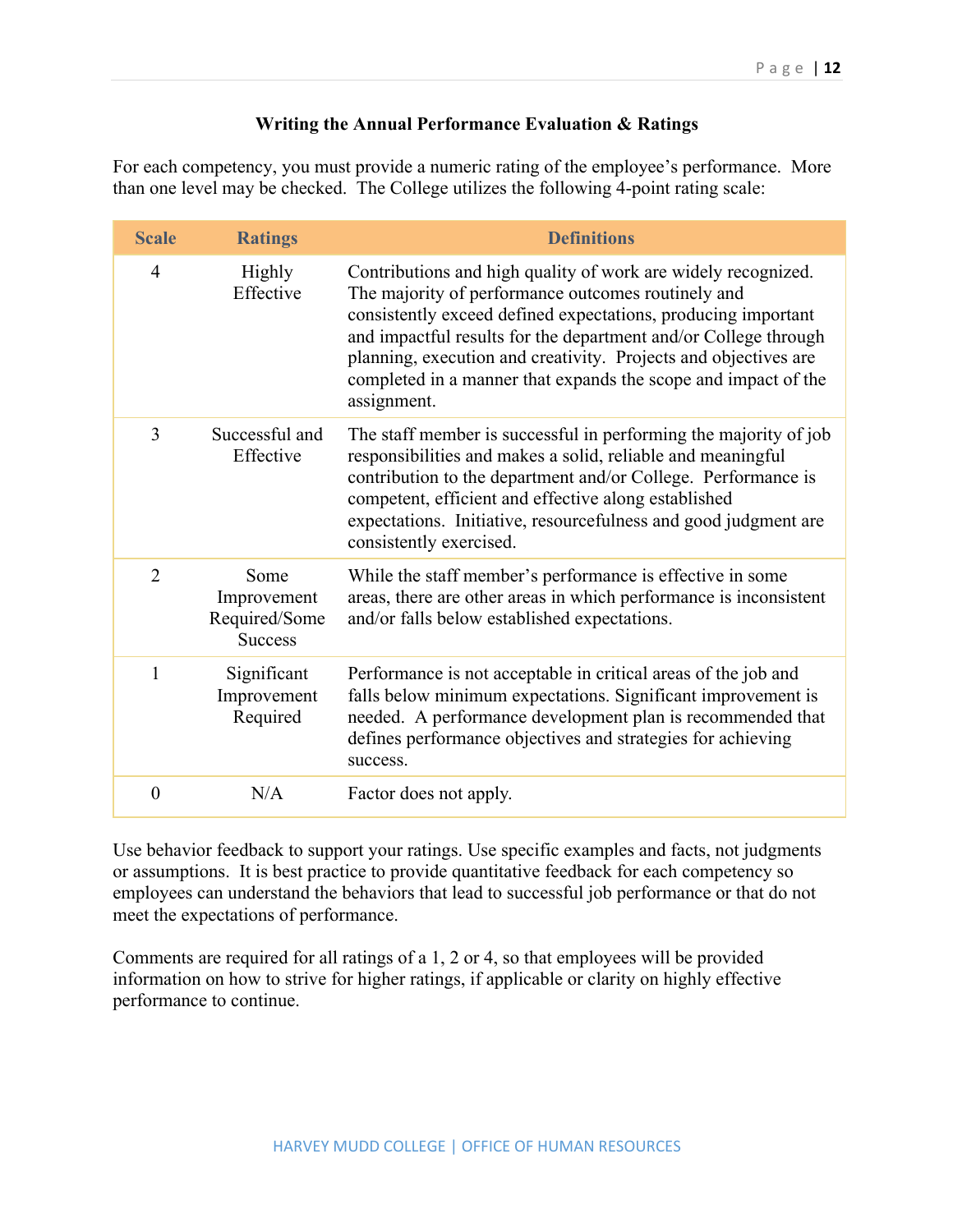## **Writing the Annual Performance Evaluation & Ratings**

For each competency, you must provide a numeric rating of the employee's performance. More than one level may be checked. The College utilizes the following 4-point rating scale:

| <b>Scale</b>   | <b>Ratings</b>                                         | <b>Definitions</b>                                                                                                                                                                                                                                                                                                                                                                                          |
|----------------|--------------------------------------------------------|-------------------------------------------------------------------------------------------------------------------------------------------------------------------------------------------------------------------------------------------------------------------------------------------------------------------------------------------------------------------------------------------------------------|
| $\overline{4}$ | Highly<br>Effective                                    | Contributions and high quality of work are widely recognized.<br>The majority of performance outcomes routinely and<br>consistently exceed defined expectations, producing important<br>and impactful results for the department and/or College through<br>planning, execution and creativity. Projects and objectives are<br>completed in a manner that expands the scope and impact of the<br>assignment. |
| 3              | Successful and<br>Effective                            | The staff member is successful in performing the majority of job<br>responsibilities and makes a solid, reliable and meaningful<br>contribution to the department and/or College. Performance is<br>competent, efficient and effective along established<br>expectations. Initiative, resourcefulness and good judgment are<br>consistently exercised.                                                      |
| $\overline{2}$ | Some<br>Improvement<br>Required/Some<br><b>Success</b> | While the staff member's performance is effective in some<br>areas, there are other areas in which performance is inconsistent<br>and/or falls below established expectations.                                                                                                                                                                                                                              |
| $\mathbf{1}$   | Significant<br>Improvement<br>Required                 | Performance is not acceptable in critical areas of the job and<br>falls below minimum expectations. Significant improvement is<br>needed. A performance development plan is recommended that<br>defines performance objectives and strategies for achieving<br>success.                                                                                                                                     |
| $\theta$       | N/A                                                    | Factor does not apply.                                                                                                                                                                                                                                                                                                                                                                                      |

Use behavior feedback to support your ratings. Use specific examples and facts, not judgments or assumptions. It is best practice to provide quantitative feedback for each competency so employees can understand the behaviors that lead to successful job performance or that do not meet the expectations of performance.

Comments are required for all ratings of a 1, 2 or 4, so that employees will be provided information on how to strive for higher ratings, if applicable or clarity on highly effective performance to continue.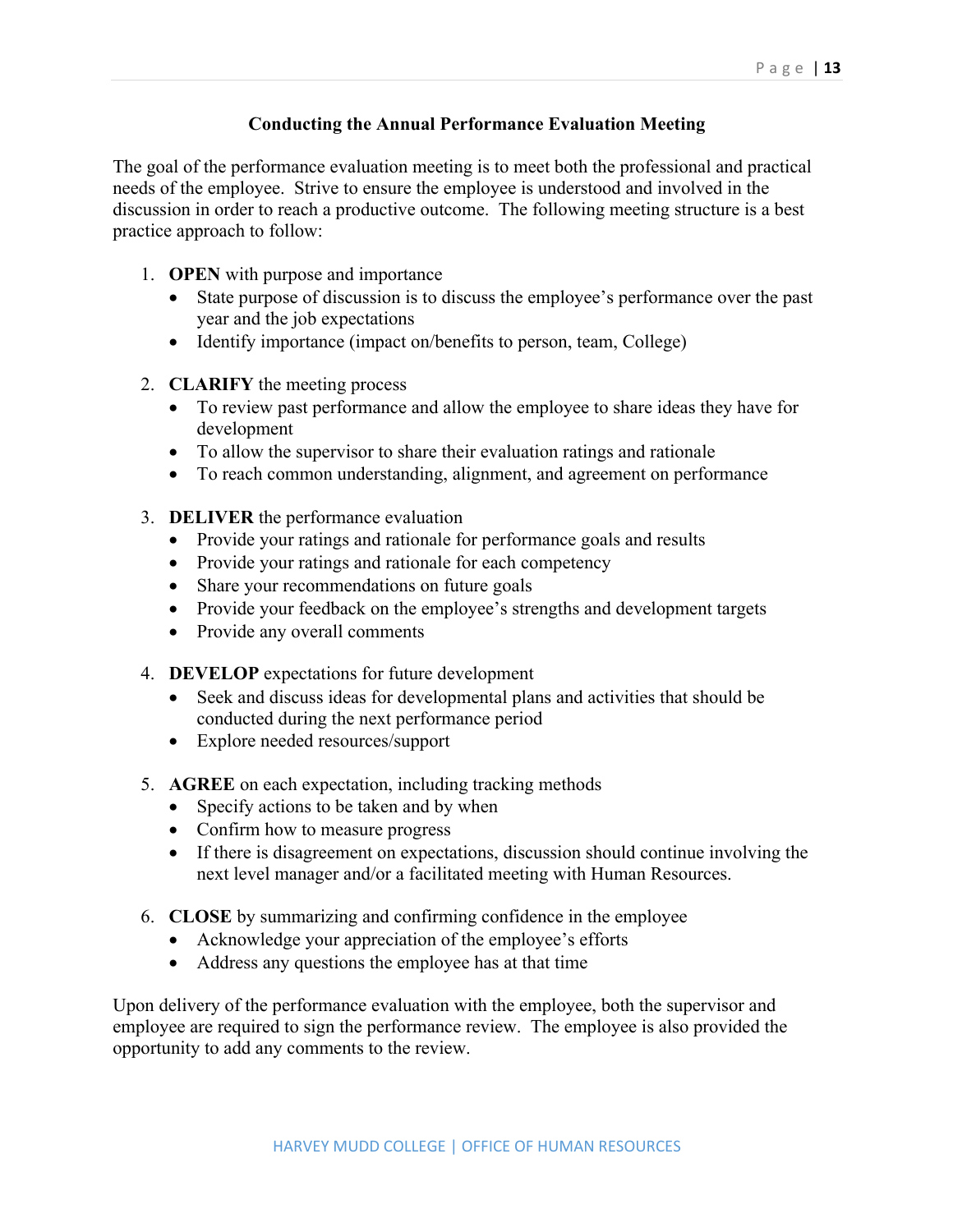## **Conducting the Annual Performance Evaluation Meeting**

The goal of the performance evaluation meeting is to meet both the professional and practical needs of the employee. Strive to ensure the employee is understood and involved in the discussion in order to reach a productive outcome. The following meeting structure is a best practice approach to follow:

- 1. **OPEN** with purpose and importance
	- State purpose of discussion is to discuss the employee's performance over the past year and the job expectations
	- Identify importance (impact on/benefits to person, team, College)
- 2. **CLARIFY** the meeting process
	- To review past performance and allow the employee to share ideas they have for development
	- To allow the supervisor to share their evaluation ratings and rationale
	- To reach common understanding, alignment, and agreement on performance
- 3. **DELIVER** the performance evaluation
	- Provide your ratings and rationale for performance goals and results
	- Provide your ratings and rationale for each competency
	- Share your recommendations on future goals
	- Provide your feedback on the employee's strengths and development targets
	- Provide any overall comments
- 4. **DEVELOP** expectations for future development
	- Seek and discuss ideas for developmental plans and activities that should be conducted during the next performance period
	- Explore needed resources/support
- 5. **AGREE** on each expectation, including tracking methods
	- Specify actions to be taken and by when
	- Confirm how to measure progress
	- If there is disagreement on expectations, discussion should continue involving the next level manager and/or a facilitated meeting with Human Resources.
- 6. **CLOSE** by summarizing and confirming confidence in the employee
	- Acknowledge your appreciation of the employee's efforts
	- Address any questions the employee has at that time

Upon delivery of the performance evaluation with the employee, both the supervisor and employee are required to sign the performance review. The employee is also provided the opportunity to add any comments to the review.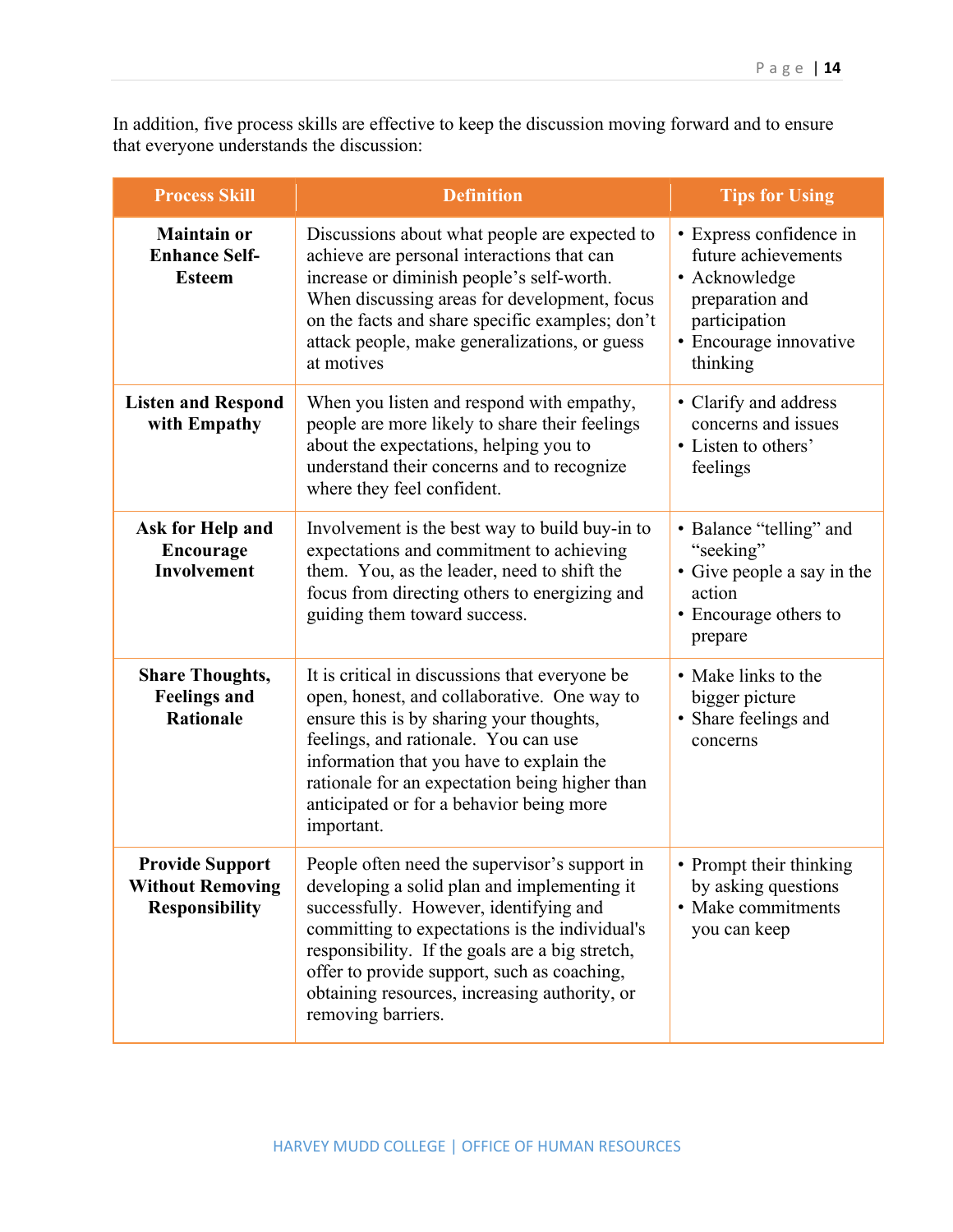In addition, five process skills are effective to keep the discussion moving forward and to ensure that everyone understands the discussion:

| <b>Process Skill</b>                                                       | <b>Definition</b>                                                                                                                                                                                                                                                                                                                                                 | <b>Tips for Using</b>                                                                                                                     |
|----------------------------------------------------------------------------|-------------------------------------------------------------------------------------------------------------------------------------------------------------------------------------------------------------------------------------------------------------------------------------------------------------------------------------------------------------------|-------------------------------------------------------------------------------------------------------------------------------------------|
| <b>Maintain or</b><br><b>Enhance Self-</b><br><b>Esteem</b>                | Discussions about what people are expected to<br>achieve are personal interactions that can<br>increase or diminish people's self-worth.<br>When discussing areas for development, focus<br>on the facts and share specific examples; don't<br>attack people, make generalizations, or guess<br>at motives                                                        | • Express confidence in<br>future achievements<br>• Acknowledge<br>preparation and<br>participation<br>· Encourage innovative<br>thinking |
| <b>Listen and Respond</b><br>with Empathy                                  | When you listen and respond with empathy,<br>people are more likely to share their feelings<br>about the expectations, helping you to<br>understand their concerns and to recognize<br>where they feel confident.                                                                                                                                                 | • Clarify and address<br>concerns and issues<br>• Listen to others'<br>feelings                                                           |
| Ask for Help and<br><b>Encourage</b><br>Involvement                        | Involvement is the best way to build buy-in to<br>expectations and commitment to achieving<br>them. You, as the leader, need to shift the<br>focus from directing others to energizing and<br>guiding them toward success.                                                                                                                                        | • Balance "telling" and<br>"seeking"<br>• Give people a say in the<br>action<br>• Encourage others to<br>prepare                          |
| <b>Share Thoughts,</b><br><b>Feelings and</b><br><b>Rationale</b>          | It is critical in discussions that everyone be<br>open, honest, and collaborative. One way to<br>ensure this is by sharing your thoughts,<br>feelings, and rationale. You can use<br>information that you have to explain the<br>rationale for an expectation being higher than<br>anticipated or for a behavior being more<br>important.                         | • Make links to the<br>bigger picture<br>• Share feelings and<br>concerns                                                                 |
| <b>Provide Support</b><br><b>Without Removing</b><br><b>Responsibility</b> | People often need the supervisor's support in<br>developing a solid plan and implementing it<br>successfully. However, identifying and<br>committing to expectations is the individual's<br>responsibility. If the goals are a big stretch,<br>offer to provide support, such as coaching,<br>obtaining resources, increasing authority, or<br>removing barriers. | • Prompt their thinking<br>by asking questions<br>• Make commitments<br>you can keep                                                      |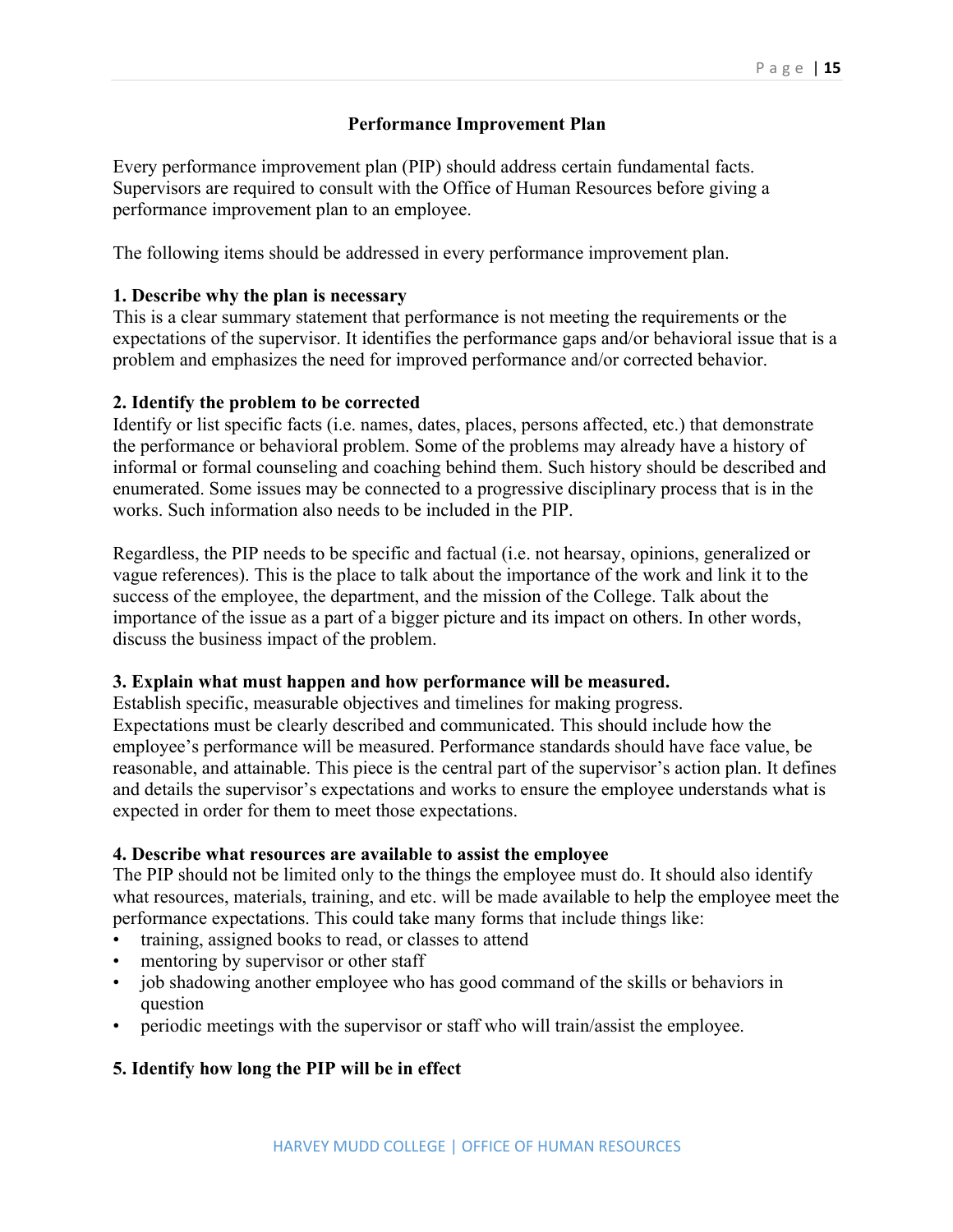## **Performance Improvement Plan**

Every performance improvement plan (PIP) should address certain fundamental facts. Supervisors are required to consult with the Office of Human Resources before giving a performance improvement plan to an employee.

The following items should be addressed in every performance improvement plan.

### **1. Describe why the plan is necessary**

This is a clear summary statement that performance is not meeting the requirements or the expectations of the supervisor. It identifies the performance gaps and/or behavioral issue that is a problem and emphasizes the need for improved performance and/or corrected behavior.

#### **2. Identify the problem to be corrected**

Identify or list specific facts (i.e. names, dates, places, persons affected, etc.) that demonstrate the performance or behavioral problem. Some of the problems may already have a history of informal or formal counseling and coaching behind them. Such history should be described and enumerated. Some issues may be connected to a progressive disciplinary process that is in the works. Such information also needs to be included in the PIP.

Regardless, the PIP needs to be specific and factual (i.e. not hearsay, opinions, generalized or vague references). This is the place to talk about the importance of the work and link it to the success of the employee, the department, and the mission of the College. Talk about the importance of the issue as a part of a bigger picture and its impact on others. In other words, discuss the business impact of the problem.

#### **3. Explain what must happen and how performance will be measured.**

Establish specific, measurable objectives and timelines for making progress. Expectations must be clearly described and communicated. This should include how the employee's performance will be measured. Performance standards should have face value, be reasonable, and attainable. This piece is the central part of the supervisor's action plan. It defines and details the supervisor's expectations and works to ensure the employee understands what is expected in order for them to meet those expectations.

#### **4. Describe what resources are available to assist the employee**

The PIP should not be limited only to the things the employee must do. It should also identify what resources, materials, training, and etc. will be made available to help the employee meet the performance expectations. This could take many forms that include things like:

- training, assigned books to read, or classes to attend
- mentoring by supervisor or other staff
- job shadowing another employee who has good command of the skills or behaviors in question
- periodic meetings with the supervisor or staff who will train/assist the employee.

## **5. Identify how long the PIP will be in effect**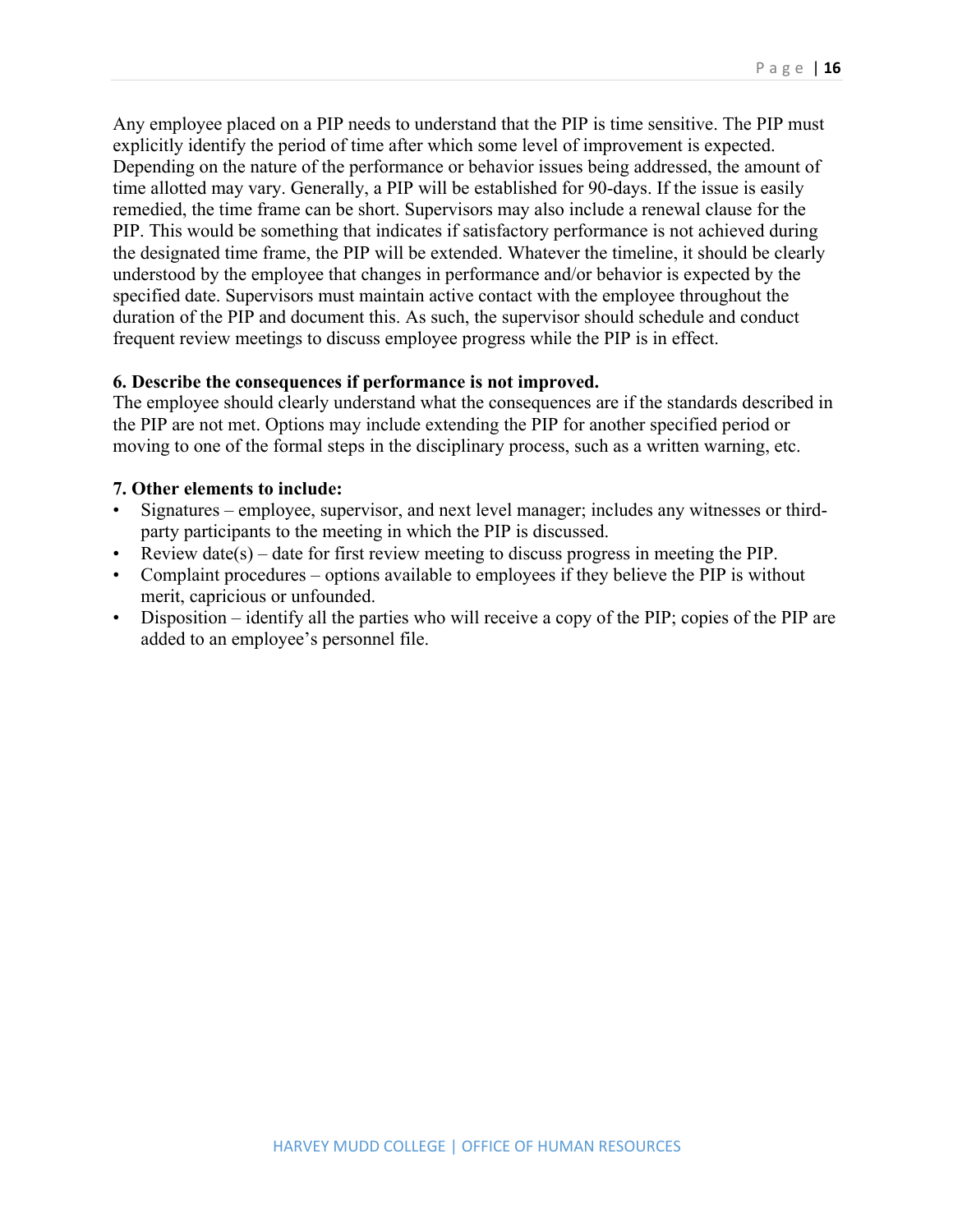Any employee placed on a PIP needs to understand that the PIP is time sensitive. The PIP must explicitly identify the period of time after which some level of improvement is expected. Depending on the nature of the performance or behavior issues being addressed, the amount of time allotted may vary. Generally, a PIP will be established for 90-days. If the issue is easily remedied, the time frame can be short. Supervisors may also include a renewal clause for the PIP. This would be something that indicates if satisfactory performance is not achieved during the designated time frame, the PIP will be extended. Whatever the timeline, it should be clearly understood by the employee that changes in performance and/or behavior is expected by the specified date. Supervisors must maintain active contact with the employee throughout the duration of the PIP and document this. As such, the supervisor should schedule and conduct frequent review meetings to discuss employee progress while the PIP is in effect.

#### **6. Describe the consequences if performance is not improved.**

The employee should clearly understand what the consequences are if the standards described in the PIP are not met. Options may include extending the PIP for another specified period or moving to one of the formal steps in the disciplinary process, such as a written warning, etc.

#### **7. Other elements to include:**

- Signatures employee, supervisor, and next level manager; includes any witnesses or thirdparty participants to the meeting in which the PIP is discussed.
- Review date(s) date for first review meeting to discuss progress in meeting the PIP.
- Complaint procedures options available to employees if they believe the PIP is without merit, capricious or unfounded.
- Disposition identify all the parties who will receive a copy of the PIP; copies of the PIP are added to an employee's personnel file.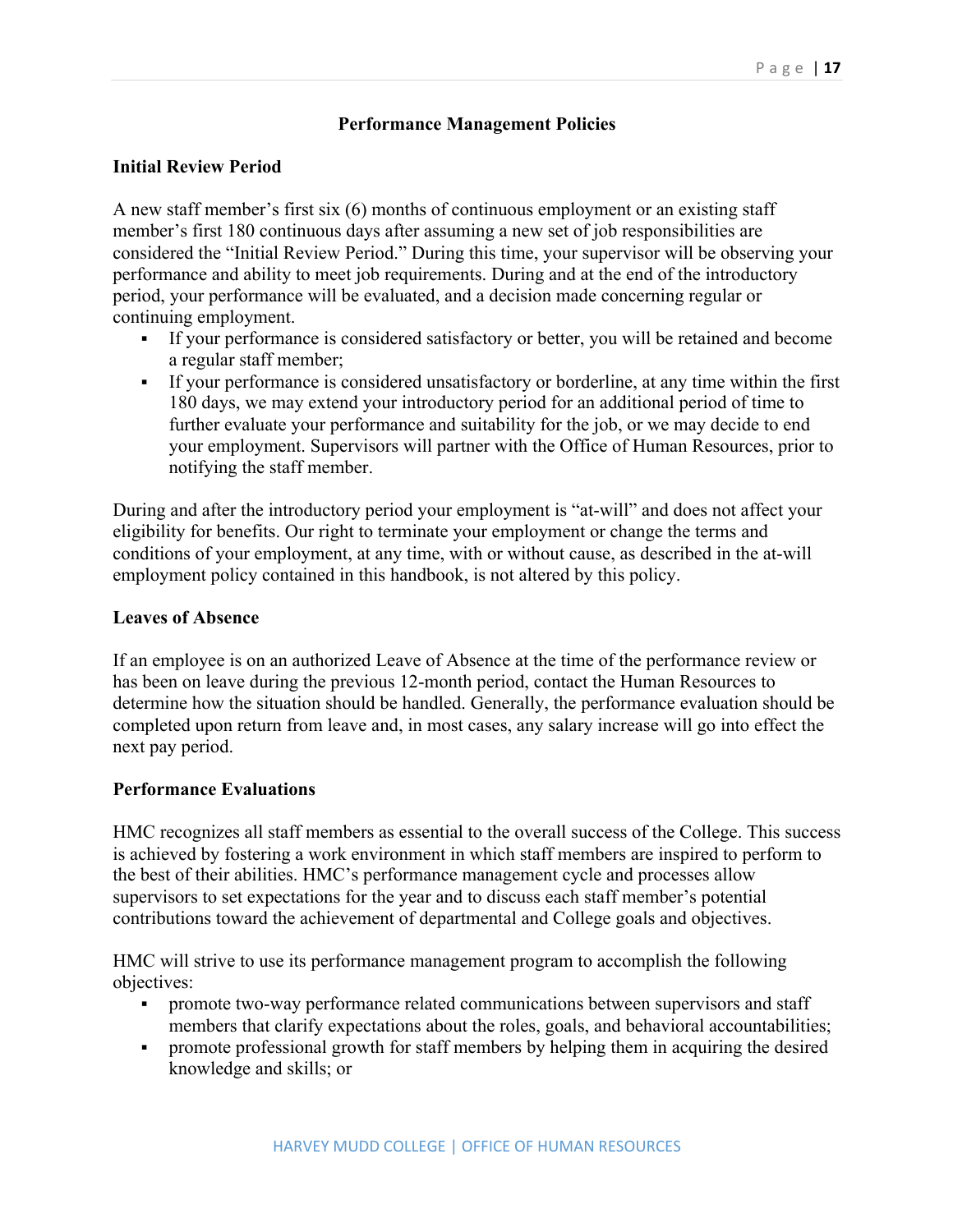## **Performance Management Policies**

### **Initial Review Period**

A new staff member's first six (6) months of continuous employment or an existing staff member's first 180 continuous days after assuming a new set of job responsibilities are considered the "Initial Review Period." During this time, your supervisor will be observing your performance and ability to meet job requirements. During and at the end of the introductory period, your performance will be evaluated, and a decision made concerning regular or continuing employment.

- § If your performance is considered satisfactory or better, you will be retained and become a regular staff member;
- § If your performance is considered unsatisfactory or borderline, at any time within the first 180 days, we may extend your introductory period for an additional period of time to further evaluate your performance and suitability for the job, or we may decide to end your employment. Supervisors will partner with the Office of Human Resources, prior to notifying the staff member.

During and after the introductory period your employment is "at-will" and does not affect your eligibility for benefits. Our right to terminate your employment or change the terms and conditions of your employment, at any time, with or without cause, as described in the at-will employment policy contained in this handbook, is not altered by this policy.

#### **Leaves of Absence**

If an employee is on an authorized Leave of Absence at the time of the performance review or has been on leave during the previous 12-month period, contact the Human Resources to determine how the situation should be handled. Generally, the performance evaluation should be completed upon return from leave and, in most cases, any salary increase will go into effect the next pay period.

#### **Performance Evaluations**

HMC recognizes all staff members as essential to the overall success of the College. This success is achieved by fostering a work environment in which staff members are inspired to perform to the best of their abilities. HMC's performance management cycle and processes allow supervisors to set expectations for the year and to discuss each staff member's potential contributions toward the achievement of departmental and College goals and objectives.

HMC will strive to use its performance management program to accomplish the following objectives:

- promote two-way performance related communications between supervisors and staff members that clarify expectations about the roles, goals, and behavioral accountabilities;
- § promote professional growth for staff members by helping them in acquiring the desired knowledge and skills; or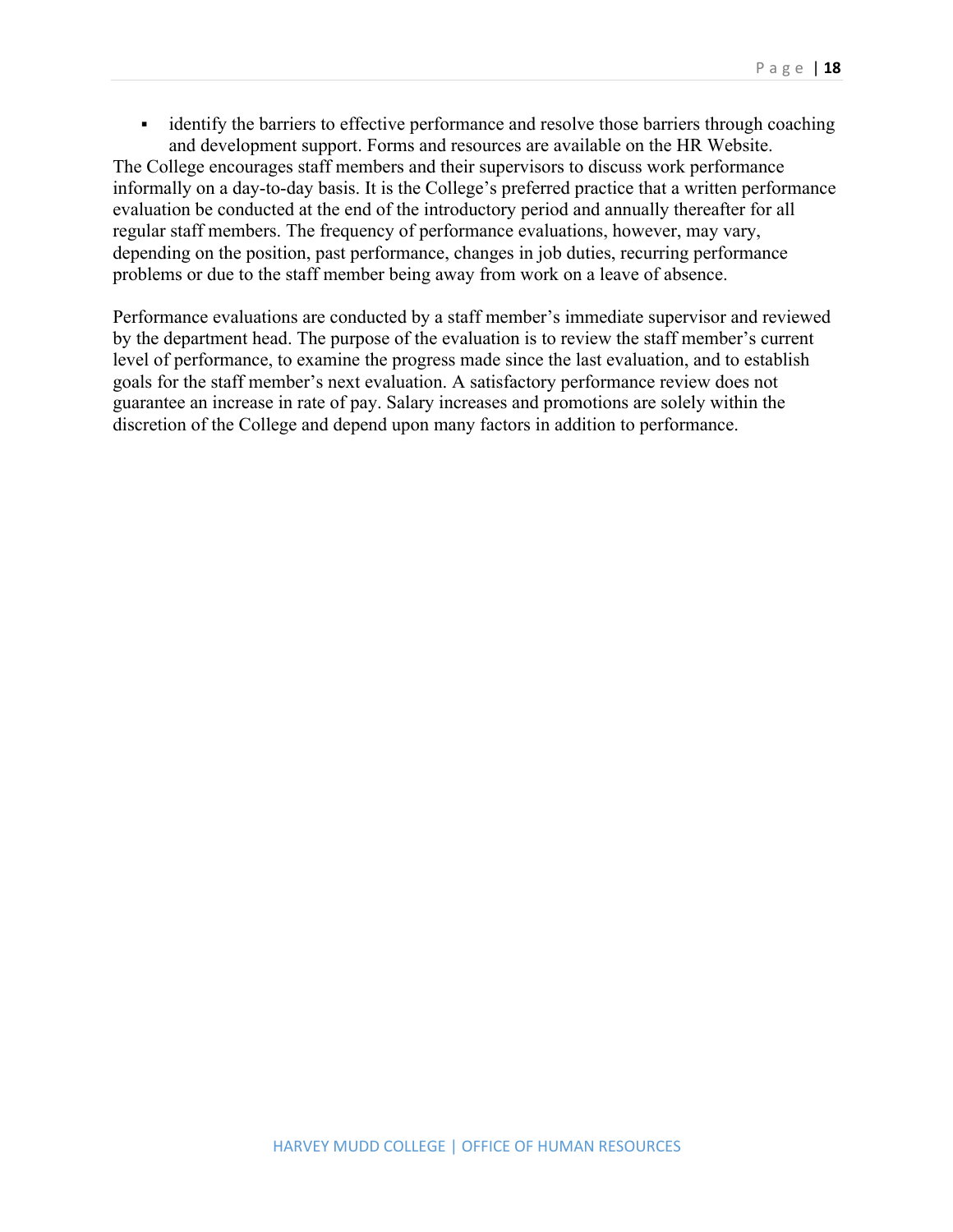• identify the barriers to effective performance and resolve those barriers through coaching and development support. Forms and resources are available on the HR Website.

The College encourages staff members and their supervisors to discuss work performance informally on a day-to-day basis. It is the College's preferred practice that a written performance evaluation be conducted at the end of the introductory period and annually thereafter for all regular staff members. The frequency of performance evaluations, however, may vary, depending on the position, past performance, changes in job duties, recurring performance problems or due to the staff member being away from work on a leave of absence.

Performance evaluations are conducted by a staff member's immediate supervisor and reviewed by the department head. The purpose of the evaluation is to review the staff member's current level of performance, to examine the progress made since the last evaluation, and to establish goals for the staff member's next evaluation. A satisfactory performance review does not guarantee an increase in rate of pay. Salary increases and promotions are solely within the discretion of the College and depend upon many factors in addition to performance.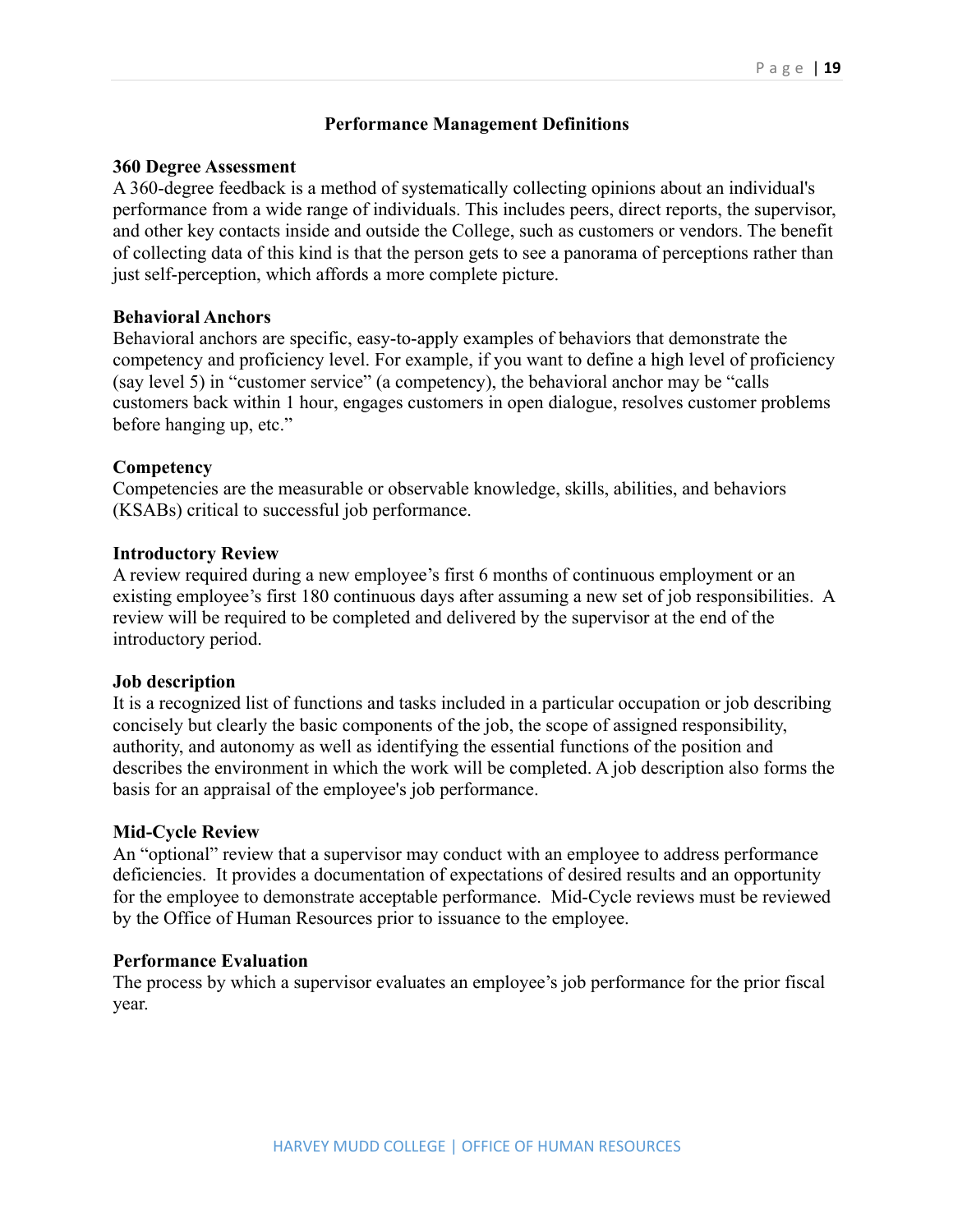### **Performance Management Definitions**

#### **360 Degree Assessment**

A 360-degree feedback is a method of systematically collecting opinions about an individual's performance from a wide range of individuals. This includes peers, direct reports, the supervisor, and other key contacts inside and outside the College, such as customers or vendors. The benefit of collecting data of this kind is that the person gets to see a panorama of perceptions rather than just self-perception, which affords a more complete picture.

#### **Behavioral Anchors**

Behavioral anchors are specific, easy-to-apply examples of behaviors that demonstrate the competency and proficiency level. For example, if you want to define a high level of proficiency (say level 5) in "customer service" (a competency), the behavioral anchor may be "calls customers back within 1 hour, engages customers in open dialogue, resolves customer problems before hanging up, etc."

#### **Competency**

Competencies are the measurable or observable knowledge, skills, abilities, and behaviors (KSABs) critical to successful job performance.

#### **Introductory Review**

A review required during a new employee's first 6 months of continuous employment or an existing employee's first 180 continuous days after assuming a new set of job responsibilities. A review will be required to be completed and delivered by the supervisor at the end of the introductory period.

#### **Job description**

It is a recognized list of functions and tasks included in a particular occupation or job describing concisely but clearly the basic components of the job, the scope of assigned responsibility, authority, and autonomy as well as identifying the essential functions of the position and describes the environment in which the work will be completed. A job description also forms the basis for an appraisal of the employee's job performance.

#### **Mid-Cycle Review**

An "optional" review that a supervisor may conduct with an employee to address performance deficiencies. It provides a documentation of expectations of desired results and an opportunity for the employee to demonstrate acceptable performance. Mid-Cycle reviews must be reviewed by the Office of Human Resources prior to issuance to the employee.

#### **Performance Evaluation**

The process by which a supervisor evaluates an employee's job performance for the prior fiscal year.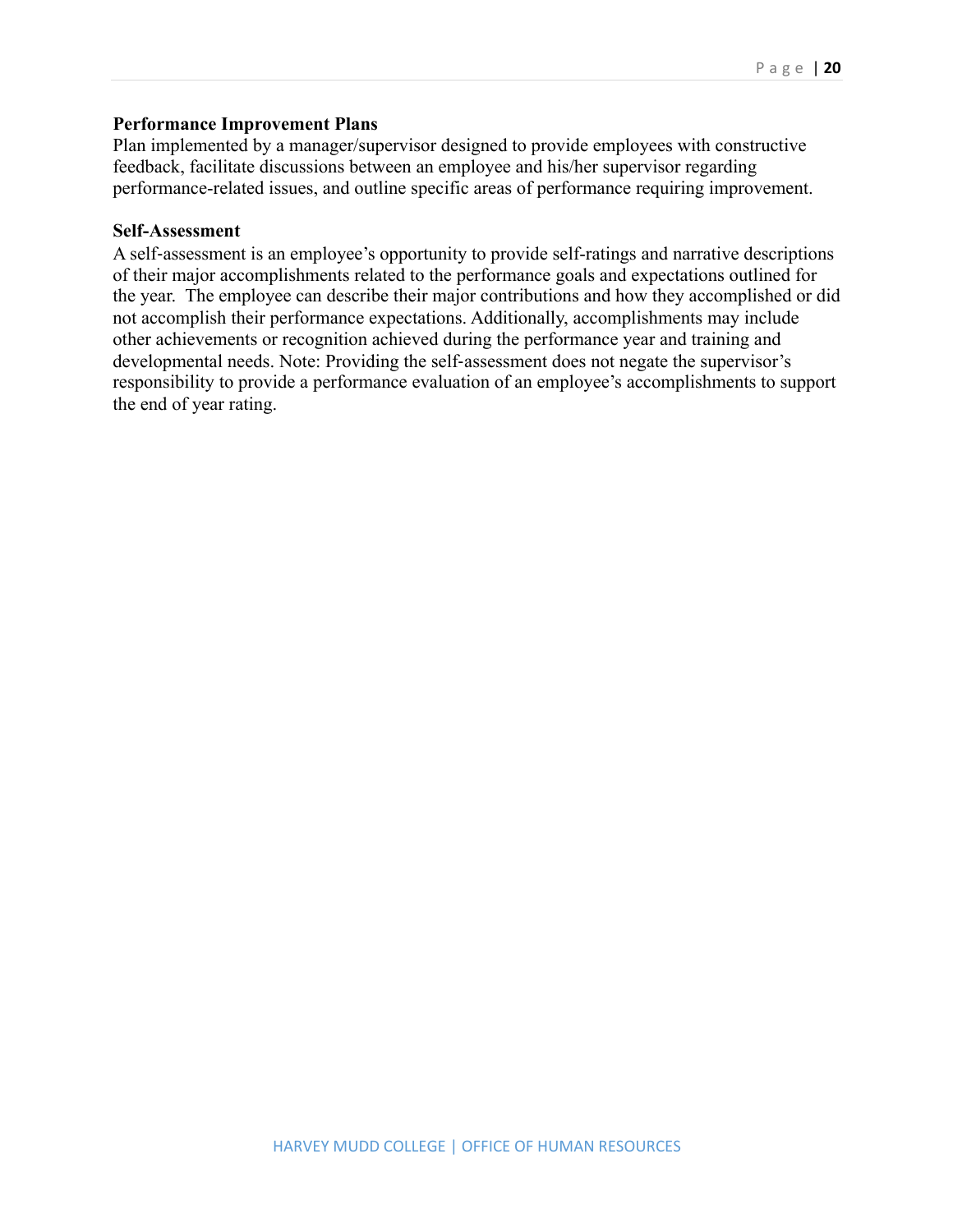#### **Performance Improvement Plans**

Plan implemented by a manager/supervisor designed to provide employees with constructive feedback, facilitate discussions between an employee and his/her supervisor regarding performance-related issues, and outline specific areas of performance requiring improvement.

#### **Self-Assessment**

A self-assessment is an employee's opportunity to provide self-ratings and narrative descriptions of their major accomplishments related to the performance goals and expectations outlined for the year. The employee can describe their major contributions and how they accomplished or did not accomplish their performance expectations. Additionally, accomplishments may include other achievements or recognition achieved during the performance year and training and developmental needs. Note: Providing the self-assessment does not negate the supervisor's responsibility to provide a performance evaluation of an employee's accomplishments to support the end of year rating.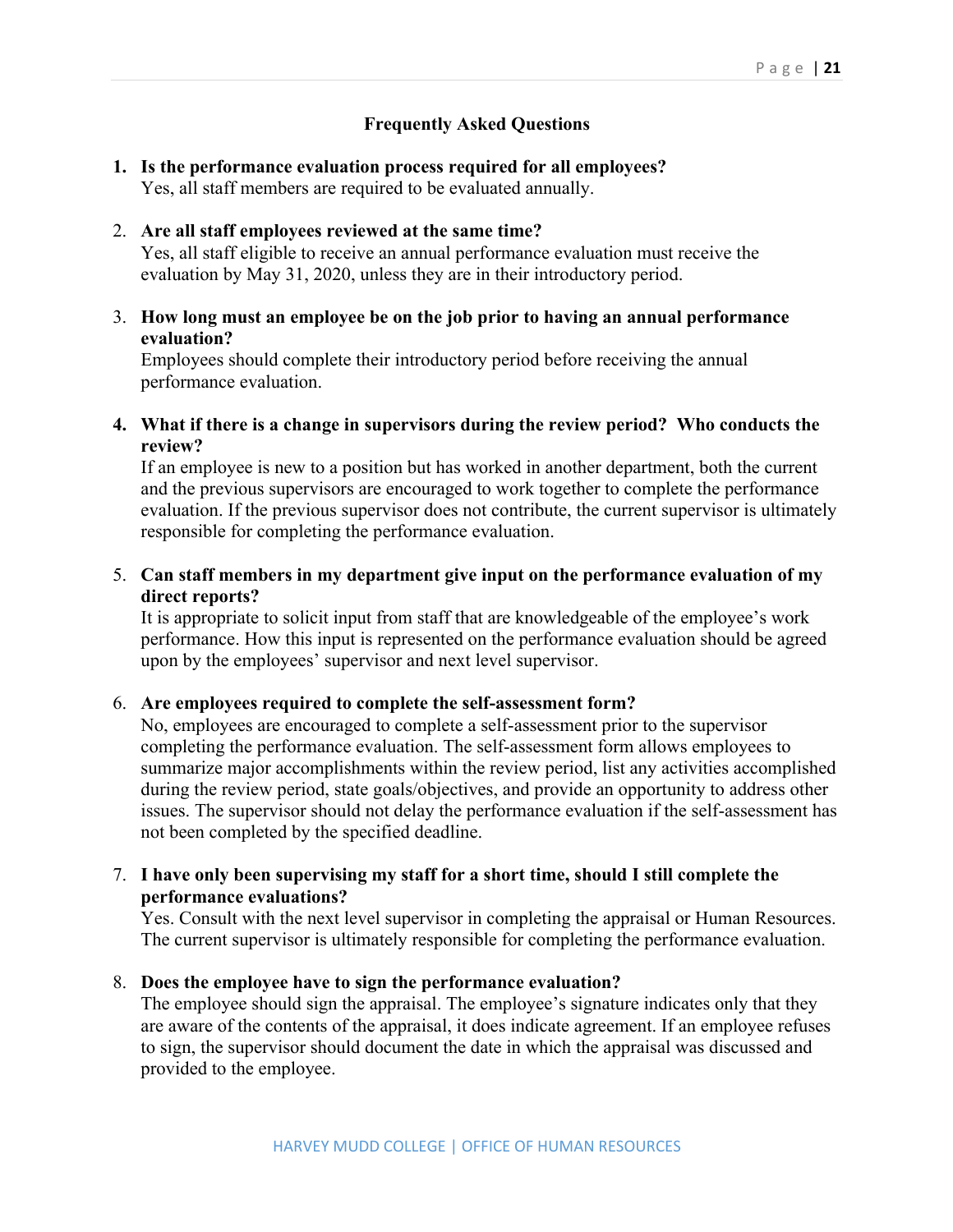## **Frequently Asked Questions**

**1. Is the performance evaluation process required for all employees?** Yes, all staff members are required to be evaluated annually.

#### 2. **Are all staff employees reviewed at the same time?**

Yes, all staff eligible to receive an annual performance evaluation must receive the evaluation by May 31, 2020, unless they are in their introductory period.

#### 3. **How long must an employee be on the job prior to having an annual performance evaluation?**

Employees should complete their introductory period before receiving the annual performance evaluation.

#### **4. What if there is a change in supervisors during the review period? Who conducts the review?**

If an employee is new to a position but has worked in another department, both the current and the previous supervisors are encouraged to work together to complete the performance evaluation. If the previous supervisor does not contribute, the current supervisor is ultimately responsible for completing the performance evaluation.

#### 5. **Can staff members in my department give input on the performance evaluation of my direct reports?**

It is appropriate to solicit input from staff that are knowledgeable of the employee's work performance. How this input is represented on the performance evaluation should be agreed upon by the employees' supervisor and next level supervisor.

#### 6. **Are employees required to complete the self-assessment form?**

No, employees are encouraged to complete a self-assessment prior to the supervisor completing the performance evaluation. The self-assessment form allows employees to summarize major accomplishments within the review period, list any activities accomplished during the review period, state goals/objectives, and provide an opportunity to address other issues. The supervisor should not delay the performance evaluation if the self-assessment has not been completed by the specified deadline.

#### 7. **I have only been supervising my staff for a short time, should I still complete the performance evaluations?**

Yes. Consult with the next level supervisor in completing the appraisal or Human Resources. The current supervisor is ultimately responsible for completing the performance evaluation.

#### 8. **Does the employee have to sign the performance evaluation?**

The employee should sign the appraisal. The employee's signature indicates only that they are aware of the contents of the appraisal, it does indicate agreement. If an employee refuses to sign, the supervisor should document the date in which the appraisal was discussed and provided to the employee.